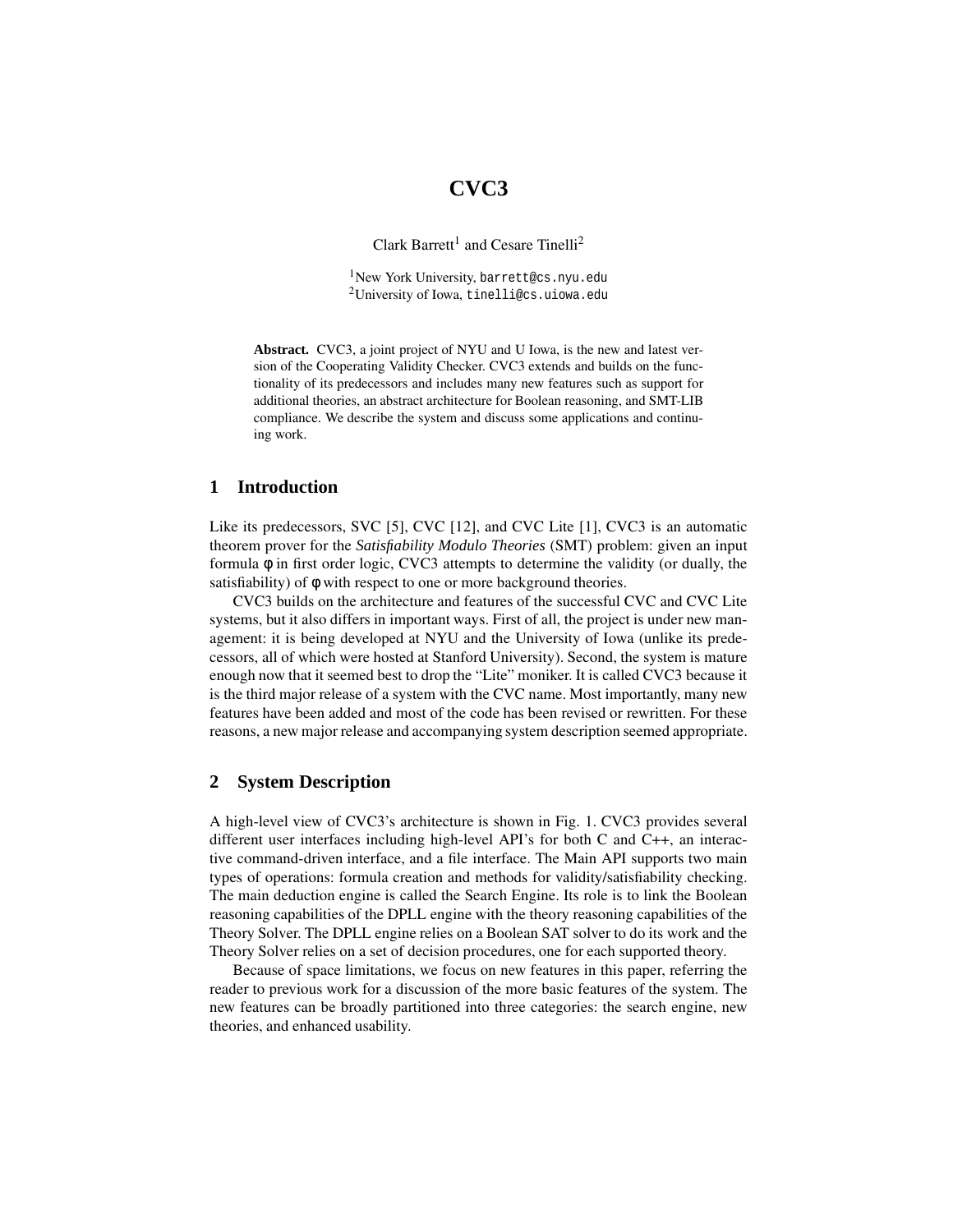# **CVC3**

Clark Barrett<sup>1</sup> and Cesare Tinelli<sup>2</sup>

<sup>1</sup>New York University, barrett@cs.nyu.edu <sup>2</sup>University of Iowa, tinelli@cs.uiowa.edu

**Abstract.** CVC3, a joint project of NYU and U Iowa, is the new and latest version of the Cooperating Validity Checker. CVC3 extends and builds on the functionality of its predecessors and includes many new features such as support for additional theories, an abstract architecture for Boolean reasoning, and SMT-LIB compliance. We describe the system and discuss some applications and continuing work.

# **1 Introduction**

Like its predecessors, SVC [5], CVC [12], and CVC Lite [1], CVC3 is an automatic theorem prover for the *Satisfiability Modulo Theories* (SMT) problem: given an input formula φ in first order logic, CVC3 attempts to determine the validity (or dually, the satisfiability) of φ with respect to one or more background theories.

CVC3 builds on the architecture and features of the successful CVC and CVC Lite systems, but it also differs in important ways. First of all, the project is under new management: it is being developed at NYU and the University of Iowa (unlike its predecessors, all of which were hosted at Stanford University). Second, the system is mature enough now that it seemed best to drop the "Lite" moniker. It is called CVC3 because it is the third major release of a system with the CVC name. Most importantly, many new features have been added and most of the code has been revised or rewritten. For these reasons, a new major release and accompanying system description seemed appropriate.

# **2 System Description**

A high-level view of CVC3's architecture is shown in Fig. 1. CVC3 provides several different user interfaces including high-level API's for both C and C++, an interactive command-driven interface, and a file interface. The Main API supports two main types of operations: formula creation and methods for validity/satisfiability checking. The main deduction engine is called the Search Engine. Its role is to link the Boolean reasoning capabilities of the DPLL engine with the theory reasoning capabilities of the Theory Solver. The DPLL engine relies on a Boolean SAT solver to do its work and the Theory Solver relies on a set of decision procedures, one for each supported theory.

Because of space limitations, we focus on new features in this paper, referring the reader to previous work for a discussion of the more basic features of the system. The new features can be broadly partitioned into three categories: the search engine, new theories, and enhanced usability.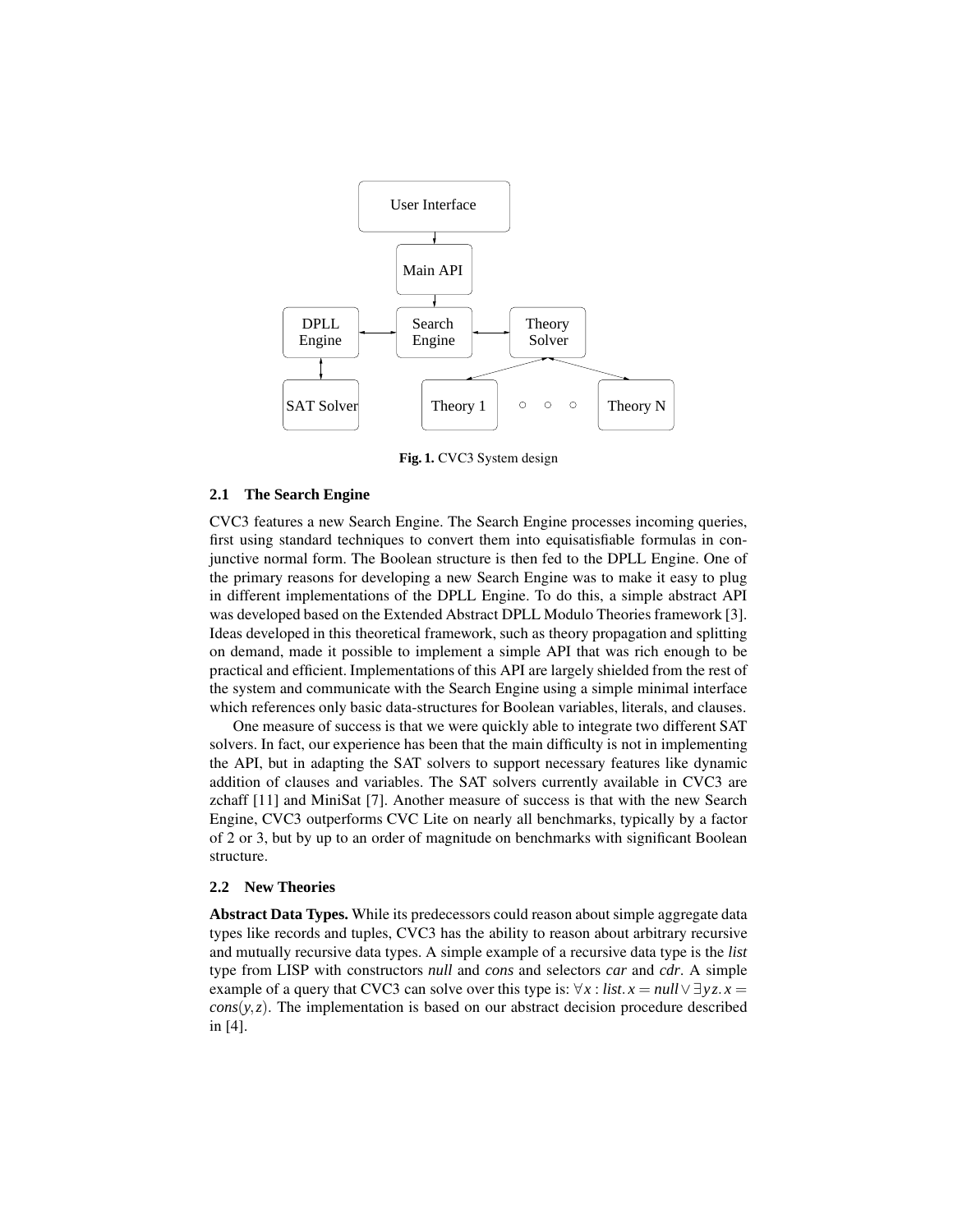

**Fig. 1.** CVC3 System design

#### **2.1 The Search Engine**

CVC3 features a new Search Engine. The Search Engine processes incoming queries, first using standard techniques to convert them into equisatisfiable formulas in conjunctive normal form. The Boolean structure is then fed to the DPLL Engine. One of the primary reasons for developing a new Search Engine was to make it easy to plug in different implementations of the DPLL Engine. To do this, a simple abstract API was developed based on the Extended Abstract DPLL Modulo Theories framework [3]. Ideas developed in this theoretical framework, such as theory propagation and splitting on demand, made it possible to implement a simple API that was rich enough to be practical and efficient. Implementations of this API are largely shielded from the rest of the system and communicate with the Search Engine using a simple minimal interface which references only basic data-structures for Boolean variables, literals, and clauses.

One measure of success is that we were quickly able to integrate two different SAT solvers. In fact, our experience has been that the main difficulty is not in implementing the API, but in adapting the SAT solvers to support necessary features like dynamic addition of clauses and variables. The SAT solvers currently available in CVC3 are zchaff [11] and MiniSat [7]. Another measure of success is that with the new Search Engine, CVC3 outperforms CVC Lite on nearly all benchmarks, typically by a factor of 2 or 3, but by up to an order of magnitude on benchmarks with significant Boolean structure.

#### **2.2 New Theories**

**Abstract Data Types.** While its predecessors could reason about simple aggregate data types like records and tuples, CVC3 has the ability to reason about arbitrary recursive and mutually recursive data types. A simple example of a recursive data type is the *list* type from LISP with constructors *null* and *cons* and selectors *car* and *cdr*. A simple example of a query that CVC3 can solve over this type is:  $\forall x : list. x = null \lor \exists yz. x =$  $cons(y, z)$ . The implementation is based on our abstract decision procedure described in [4].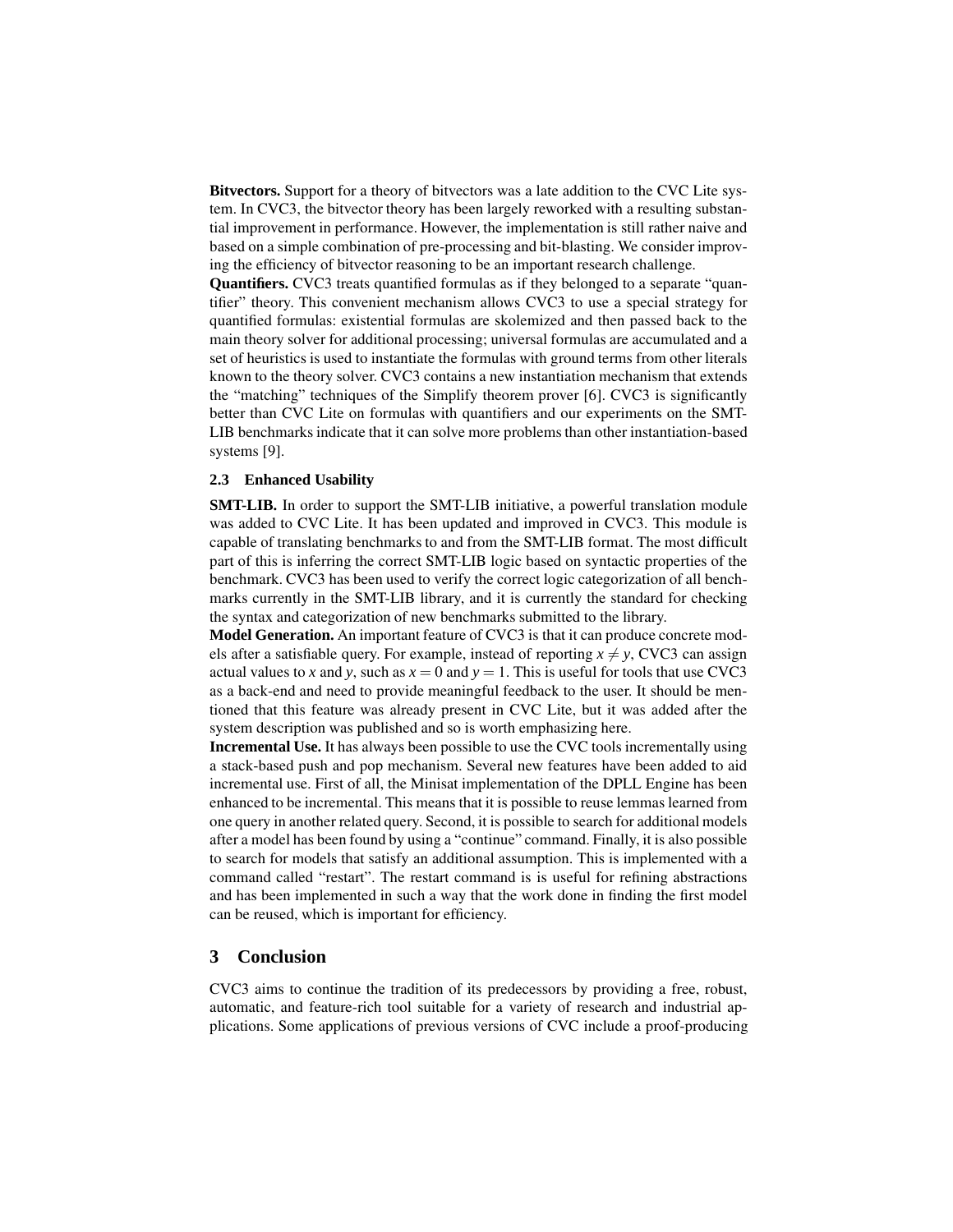**Bitvectors.** Support for a theory of bitvectors was a late addition to the CVC Lite system. In CVC3, the bitvector theory has been largely reworked with a resulting substantial improvement in performance. However, the implementation is still rather naive and based on a simple combination of pre-processing and bit-blasting. We consider improving the efficiency of bitvector reasoning to be an important research challenge.

**Quantifiers.** CVC3 treats quantified formulas as if they belonged to a separate "quantifier" theory. This convenient mechanism allows CVC3 to use a special strategy for quantified formulas: existential formulas are skolemized and then passed back to the main theory solver for additional processing; universal formulas are accumulated and a set of heuristics is used to instantiate the formulas with ground terms from other literals known to the theory solver. CVC3 contains a new instantiation mechanism that extends the "matching" techniques of the Simplify theorem prover [6]. CVC3 is significantly better than CVC Lite on formulas with quantifiers and our experiments on the SMT-LIB benchmarks indicate that it can solve more problems than other instantiation-based systems [9].

# **2.3 Enhanced Usability**

**SMT-LIB.** In order to support the SMT-LIB initiative, a powerful translation module was added to CVC Lite. It has been updated and improved in CVC3. This module is capable of translating benchmarks to and from the SMT-LIB format. The most difficult part of this is inferring the correct SMT-LIB logic based on syntactic properties of the benchmark. CVC3 has been used to verify the correct logic categorization of all benchmarks currently in the SMT-LIB library, and it is currently the standard for checking the syntax and categorization of new benchmarks submitted to the library.

**Model Generation.** An important feature of CVC3 is that it can produce concrete models after a satisfiable query. For example, instead of reporting  $x \neq y$ , CVC3 can assign actual values to *x* and *y*, such as  $x = 0$  and  $y = 1$ . This is useful for tools that use CVC3 as a back-end and need to provide meaningful feedback to the user. It should be mentioned that this feature was already present in CVC Lite, but it was added after the system description was published and so is worth emphasizing here.

**Incremental Use.** It has always been possible to use the CVC tools incrementally using a stack-based push and pop mechanism. Several new features have been added to aid incremental use. First of all, the Minisat implementation of the DPLL Engine has been enhanced to be incremental. This means that it is possible to reuse lemmas learned from one query in another related query. Second, it is possible to search for additional models after a model has been found by using a "continue" command. Finally, it is also possible to search for models that satisfy an additional assumption. This is implemented with a command called "restart". The restart command is is useful for refining abstractions and has been implemented in such a way that the work done in finding the first model can be reused, which is important for efficiency.

# **3 Conclusion**

CVC3 aims to continue the tradition of its predecessors by providing a free, robust, automatic, and feature-rich tool suitable for a variety of research and industrial applications. Some applications of previous versions of CVC include a proof-producing